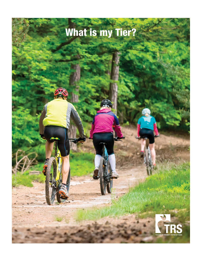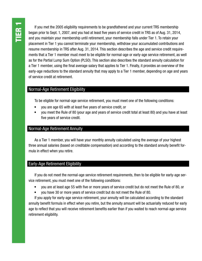If you met the 2005 eligibility requirements to be grandfathered and your current TRS membership began prior to Sept. 1, 2007, and you had at least five years of service credit in TRS as of Aug. 31, 2014, and you maintain your membership until retirement, your membership falls under Tier 1. To retain your placement in Tier 1 you cannot terminate your membership, withdraw your accumulated contributions and resume membership in TRS after Aug. 31, 2014. This section describes the age and service credit requirements that a Tier 1 member must meet to be eligible for normal-age or early-age service retirement, as well as for the Partial Lump Sum Option (PLSO). This section also describes the standard annuity calculation for a Tier 1 member, using the final average salary that applies to Tier 1. Finally, it provides an overview of the early-age reductions to the standard annuity that may apply to a Tier 1 member, depending on age and years of service credit at retirement.

#### Normal-Age Retirement Eligibility

To be eligible for normal-age service retirement, you must meet one of the following conditions:

- you are age 65 with at least five years of service credit, or
- you meet the Rule of 80 (your age and years of service credit total at least 80) and you have at least five years of service credit.

# Normal-Age Retirement Annuity

As a Tier 1 member, you will have your monthly annuity calculated using the average of your highest three annual salaries (based on creditable compensation) and according to the standard annuity benefit formula in effect when you retire.

#### Early-Age Retirement Eligibility

If you do not meet the normal-age service retirement requirements, then to be eligible for early-age service retirement, you must meet one of the following conditions:

- you are at least age 55 with five or more years of service credit but do not meet the Rule of 80, or
- you have 30 or more years of service credit but do not meet the Rule of 80.

If you apply for early-age service retirement, your annuity will be calculated according to the standard annuity benefit formula in effect when you retire, but the annuity amount will be actuarially reduced for early age to reflect that you will receive retirement benefits earlier than if you waited to reach normal-age service retirement eligibility.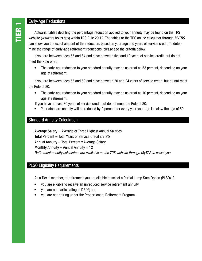Early-Age Reductions<br>
Actuarial tables detail<br>
website (www.trs.texas.g Actuarial tables detailing the percentage reduction applied to your annuity may be found on the TRS website (www.trs.texas.gov) within TRS Rule 29.12. The tables or the TRS online calculator through *MyTRS* can show you the exact amount of the reduction, based on your age and years of service credit. To determine the range of early-age retirement reductions, please see the criteria below.

If you are between ages 55 and 64 and have between five and 19 years of service credit, but do not meet the Rule of 80:

• The early-age reduction to your standard annuity may be as great as 53 percent, depending on your age at retirement.

If you are between ages 55 and 59 and have between 20 and 24 years of service credit, but do not meet the Rule of 80:

• The early-age reduction to your standard annuity may be as great as 10 percent, depending on your age at retirement.

If you have at least 30 years of service credit but do not meet the Rule of 80:

• Your standard annuity will be reduced by 2 percent for every year your age is below the age of 50.

# Standard Annuity Calculation

Average Salary  $=$  Average of Three Highest Annual Salaries **Total Percent** = Total Years of Service Credit x  $2.3\%$ Annual Annuity  $=$  Total Percent x Average Salary Monthly Annuity = Annual Annuity  $\div$  12 *Retirement annuity calculators are available on the TRS website through MyTRS to assist you.* 

#### PLSO Eligibility Requirements

As a Tier 1 member, at retirement you are eligible to select a Partial Lump Sum Option (PLSO) if:

- you are eligible to receive an unreduced service retirement annuity,
- you are not participating in DROP, and
- you are not retiring under the Proportionate Retirement Program.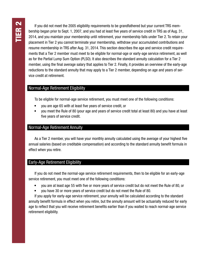If you did not meet the 2005 eligibility requirements to be grandfathered but your current TRS membership began prior to Sept. 1, 2007, and you had at least five years of service credit in TRS as of Aug. 31, 2014, and you maintain your membership until retirement, your membership falls under Tier 2. To retain your placement in Tier 2 you cannot terminate your membership, withdraw your accumulated contributions and resume membership in TRS after Aug. 31, 2014. This section describes the age and service credit requirements that a Tier 2 member must meet to be eligible for normal-age or early-age service retirement, as well as for the Partial Lump Sum Option (PLSO). It also describes the standard annuity calculation for a Tier 2 member, using the final average salary that applies to Tier 2. Finally, it provides an overview of the early-age reductions to the standard annuity that may apply to a Tier 2 member, depending on age and years of service credit at retirement.

#### Normal-Age Retirement Eligibility

To be eligible for normal-age service retirement, you must meet one of the following conditions:

- you are age 65 with at least five years of service credit, or
- you meet the Rule of 80 (your age and years of service credit total at least 80) and you have at least five years of service credit.

#### Normal-Age Retirement Annuity

As a Tier 2 member, you will have your monthly annuity calculated using the average of your highest five annual salaries (based on creditable compensation) and according to the standard annuity benefit formula in effect when you retire.

### Early-Age Retirement Eligibility

If you do not meet the normal-age service retirement requirements, then to be eligible for an early-age service retirement, you must meet one of the following conditions:

- you are at least age 55 with five or more years of service credit but do not meet the Rule of 80, or
- you have 30 or more years of service credit but do not meet the Rule of 80.

If you apply for early-age service retirement, your annuity will be calculated according to the standard annuity benefit formula in effect when you retire, but the annuity amount will be actuarially reduced for early age to reflect that you will receive retirement benefits earlier than if you waited to reach normal-age service retirement eligibility.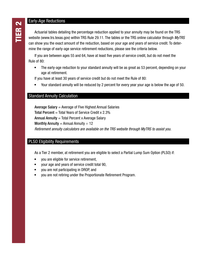Early-Age Reductions<br>
Actuarial tables detail<br>
website (www.trs.texas.g Actuarial tables detailing the percentage reduction applied to your annuity may be found on the TRS website (www.trs.texas.gov) within TRS Rule 29.11. The tables or the TRS online calculator through *MyTRS* can show you the exact amount of the reduction, based on your age and years of service credit. To determine the range of early-age service retirement reductions, please see the criteria below.

If you are between ages 55 and 64, have at least five years of service credit, but do not meet the Rule of 80:

• The early-age reduction to your standard annuity will be as great as 53 percent, depending on your age at retirement.

If you have at least 30 years of service credit but do not meet the Rule of 80:

• Your standard annuity will be reduced by 2 percent for every year your age is below the age of 50.

### Standard Annuity Calculation

Average Salary  $=$  Average of Five Highest Annual Salaries **Total Percent** = Total Years of Service Credit x  $2.3\%$ Annual Annuity  $=$  Total Percent x Average Salary Monthly Annuity = Annual Annuity  $\div$  12 *Retirement annuity calculators are available on the TRS website through MyTRS to assist you.* 

### PLSO Eligibility Requirements

As a Tier 2 member, at retirement you are eligible to select a Partial Lump Sum Option (PLSO) if:

- you are eligible for service retirement,
- your age and years of service credit total 90,
- you are not participating in DROP, and
- you are not retiring under the Proportionate Retirement Program.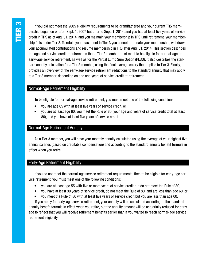If you did not meet the 2005 eligibility requirements to be grandfathered and your current TRS membership began on or after Sept. 1, 2007 but prior to Sept. 1, 2014, and you had at least five years of service credit in TRS as of Aug. 31, 2014, and you maintain your membership in TRS until retirement, your membership falls under Tier 3. To retain your placement in Tier 3 you cannot terminate your membership, withdraw your accumulated contributions and resume membership in TRS after Aug. 31, 2014. This section describes the age and service credit requirements that a Tier 3 member must meet to be eligible for normal-age or early-age service retirement, as well as for the Partial Lump Sum Option (PLSO). It also describes the standard annuity calculation for a Tier 3 member, using the final average salary that applies to Tier 3. Finally, it provides an overview of the early-age service retirement reductions to the standard annuity that may apply to a Tier 3 member, depending on age and years of service credit at retirement.

### Normal-Age Retirement Eligibility

To be eligible for normal-age service retirement, you must meet one of the following conditions:

- you are age 65 with at least five years of service credit, or
- you are at least age 60, you meet the Rule of 80 (your age and years of service credit total at least 80), and you have at least five years of service credit.

### Normal-Age Retirement Annuity

As a Tier 3 member, you will have your monthly annuity calculated using the average of your highest five annual salaries (based on creditable compensation) and according to the standard annuity benefit formula in effect when you retire.

#### Early-Age Retirement Eligibility

If you do not meet the normal-age service retirement requirements, then to be eligible for early-age service retirement, you must meet one of the following conditions:

- you are at least age 55 with five or more years of service credit but do not meet the Rule of 80,
- you have at least 30 years of service credit, do not meet the Rule of 80, and are less than age 60, or
- you meet the Rule of 80 with at least five years of service credit but you are less than age 60.

If you apply for early-age service retirement, your annuity will be calculated according to the standard annuity benefit formula in effect when you retire, but the annuity amount will be actuarially reduced for early age to reflect that you will receive retirement benefits earlier than if you waited to reach normal-age service retirement eligibility.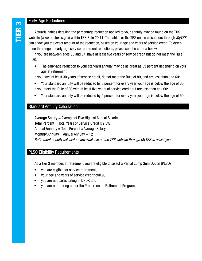Early-Age Reductions<br>
Actuarial tables detail<br>
website (www.trs.texas.g Actuarial tables detailing the percentage reduction applied to your annuity may be found on the TRS website (www.trs.texas.gov) within TRS Rule 29.11. The tables or the TRS online calculators through *MyTRS* can show you the exact amount of the reduction, based on your age and years of service credit. To determine the range of early-age service retirement reductions, please see the criteria below.

If you are between ages 55 and 64, have at least five years of service credit but do not meet the Rule of 80:

• The early-age reduction to your standard annuity may be as great as 53 percent depending on your age at retirement.

If you have at least 30 years of service credit, do not meet the Rule of 80, and are less than age 60:

• Your standard annuity will be reduced by 5 percent for every year your age is below the age of 60. If you meet the Rule of 80 with at least five years of service credit but are less than age 60:

• Your standard annuity will be reduced by 5 percent for every year your age is below the age of 60.

# Standard Annuity Calculation

Average Salary  $=$  Average of Five Highest Annual Salaries Total Percent  $=$  Total Years of Service Credit x 2.3% Annual Annuity  $=$  Total Percent x Average Salary Monthly Annuity = Annual Annuity  $\div$  12 *Retirement annuity calculators are available on the TRS website through MyTRS to assist you.* 

### PLSO Eligibility Requirements

As a Tier 3 member, at retirement you are eligible to select a Partial Lump Sum Option (PLSO) if:

- you are eligible for service retirement,
- your age and years of service credit total 90,
- you are not participating in DROP, and
- you are not retiring under the Proportionate Retirement Program.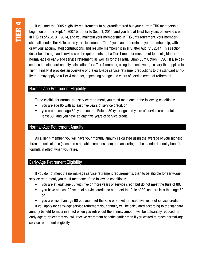If you met the 2005 eligibility requirements to be grandfathered but your current TRS membership began on or after Sept. 1, 2007 but prior to Sept. 1, 2014, and you had at least five years of service credit in TRS as of Aug. 31, 2014, and you maintain your membership in TRS until retirement, your membership falls under Tier 4. To retain your placement in Tier 4 you cannot terminate your membership, withdraw your accumulated contributions, and resume membership in TRS after Aug. 31, 2014. This section describes the age and service credit requirements that a Tier 4 member must meet to be eligible for normal-age or early-age service retirement, as well as for the Partial Lump Sum Option (PLSO). It also describes the standard annuity calculation for a Tier 4 member, using the final average salary that applies to Tier 4. Finally, it provides an overview of the early-age service retirement reductions to the standard annuity that may apply to a Tier 4 member, depending on age and years of service credit at retirement.

#### Normal-Age Retirement Eligibility

To be eligible for normal-age service retirement, you must meet one of the following conditions:

- you are age 65 with at least five years of service credit, or
- you are at least age 60, you meet the Rule of 80 (your age and years of service credit total at least 80), and you have at least five years of service credit.

#### Normal-Age Retirement Annuity

As a Tier 4 member, you will have your monthly annuity calculated using the average of your highest three annual salaries (based on creditable compensation) and according to the standard annuity benefit formula in effect when you retire.

### Early-Age Retirement Eligibility

If you do not meet the normal-age service retirement requirements, then to be eligible for early-age service retirement, you must meet one of the following conditions:

- you are at least age 55 with five or more years of service credit but do not meet the Rule of 80,
- you have at least 30 years of service credit, do not meet the Rule of 80, and are less than age 60, or
- you are less than age 60 but you meet the Rule of 80 with at least five years of service credit.

If you apply for early-age service retirement your annuity will be calculated according to the standard annuity benefit formula in effect when you retire, but the annuity amount will be actuarially reduced for early age to reflect that you will receive retirement benefits earlier than if you waited to reach normal-age service retirement eligibility.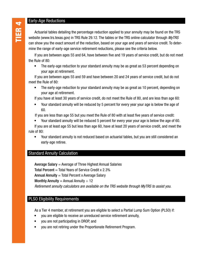Early-Age Reductions<br>
Actuarial tables detail<br>
website (www.trs.texas.g Actuarial tables detailing the percentage reduction applied to your annuity may be found on the TRS website (www.trs.texas.gov) in TRS Rule 29.12. The tables or the TRS online calculator through *MyTRS*  can show you the exact amount of the reduction, based on your age and years of service credit. To determine the range of early-age service retirement reductions, please see the criteria below.

If you are between ages 55 and 64, have between five and 19 years of service credit, but do not meet the Rule of 80:

• The early-age reduction to your standard annuity may be as great as 53 percent depending on your age at retirement.

If you are between ages 55 and 59 and have between 20 and 24 years of service credit, but do not meet the Rule of 80:

• The early-age reduction to your standard annuity may be as great as 10 percent, depending on your age at retirement.

If you have at least 30 years of service credit, do not meet the Rule of 80, and are less than age 60:

• Your standard annuity will be reduced by 5 percent for every year your age is below the age of 60.

If you are less than age 55 but you meet the Rule of 80 with at least five years of service credit:

• Your standard annuity will be reduced 5 percent for every year your age is below the age of 60. If you are at least age 55 but less than age 60, have at least 20 years of service credit, and meet the

rule of 80:

• Your standard annuity is not reduced based on actuarial tables, but you are still considered an early-age retiree.

#### Standard Annuity Calculation

Average Salary  $=$  Average of Three Highest Annual Salaries Total Percent  $=$  Total Years of Service Credit x 2.3% Annual Annuity  $=$  Total Percent x Average Salary Monthly Annuity = Annual Annuity  $\div$  12 *Retirement annuity calculators are available on the TRS website through MyTRS to assist you.* 

## PLSO Eligibility Requirements

As a Tier 4 member, at retirement you are eligible to select a Partial Lump Sum Option (PLSO) if:

- you are eligible to receive an unreduced service retirement annuity,
- you are not participating in DROP, and
- you are not retiring under the Proportionate Retirement Program.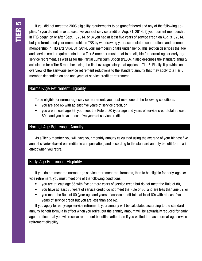If you did not meet the 2005 eligibility requirements to be grandfathered and any of the following applies: 1) you did not have at least five years of service credit on Aug. 31, 2014, 2) your current membership in TRS began on or after Sept. 1, 2014, or 3) you had at least five years of service credit on Aug. 31, 2014, but you terminated your membership in TRS by withdrawing your accumulated contributions and resumed membership in TRS after Aug. 31, 2014, your membership falls under Tier 5. This section describes the age and service credit requirements that a Tier 5 member must meet to be eligible for normal-age or early-age service retirement, as well as for the Partial Lump Sum Option (PLSO). It also describes the standard annuity calculation for a Tier 5 member, using the final average salary that applies to Tier 5. Finally, it provides an overview of the early-age service retirement reductions to the standard annuity that may apply to a Tier 5 member, depending on age and years of service credit at retirement.

#### Normal-Age Retirement Eligibility

To be eligible for normal-age service retirement, you must meet one of the following conditions:

- you are age 65 with at least five years of service credit, or
- you are at least age 62, you meet the Rule of 80 (your age and years of service credit total at least 80 ), and you have at least five years of service credit.

#### Normal-Age Retirement Annuity

As a Tier 5 member, you will have your monthly annuity calculated using the average of your highest five annual salaries (based on creditable compensation) and according to the standard annuity benefit formula in effect when you retire.

### Early-Age Retirement Eligibility

If you do not meet the normal-age service retirement requirements, then to be eligible for early-age service retirement, you must meet one of the following conditions:

- you are at least age 55 with five or more years of service credit but do not meet the Rule of 80,
- you have at least 30 years of service credit, do not meet the Rule of 80, and are less than age 62, or
- you meet the Rule of 80 (your age and years of service credit total at least 80) with at least five years of service credit but you are less than age 62.

If you apply for early-age service retirement, your annuity will be calculated according to the standard annuity benefit formula in effect when you retire, but the annuity amount will be actuarially reduced for early age to reflect that you will receive retirement benefits earlier than if you waited to reach normal-age service retirement eligibility.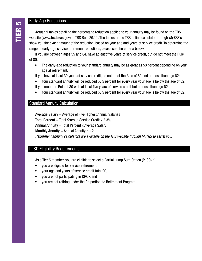#### Early-Age Reductions

Actuarial tables detailing the percentage reduction applied to your annuity may be found on the TRS website (www.trs.texas.gov) in TRS Rule 29.11. The tables or the TRS online calculator through *MyTRS* can show you the exact amount of the reduction, based on your age and years of service credit. To determine the range of early-age service retirement reductions, please see the criteria below.

If you are between ages 55 and 64, have at least five years of service credit, but do not meet the Rule of 80:

- The early-age reduction to your standard annuity may be as great as 53 percent depending on your age at retirement.
- If you have at least 30 years of service credit, do not meet the Rule of 80 and are less than age 62:
- Your standard annuity will be reduced by 5 percent for every year your age is below the age of 62. If you meet the Rule of 80 with at least five years of service credit but are less than age 62:
- Your standard annuity will be reduced by 5 percent for every year your age is below the age of 62.

#### Standard Annuity Calculation

Average Salary  $=$  Average of Five Highest Annual Salaries Total Percent  $=$  Total Years of Service Credit x 2.3% Annual Annuity  $=$  Total Percent x Average Salary Monthly Annuity = Annual Annuity  $\div$  12 *Retirement annuity calculators are available on the TRS website through MyTRS to assist you.* 

### PLSO Eligibility Requirements

As a Tier 5 member, you are eligible to select a Partial Lump Sum Option (PLSO) if:

- you are eligible for service retirement,
- your age and years of service credit total 90,
- you are not participating in DROP, and
- you are not retiring under the Proportionate Retirement Program.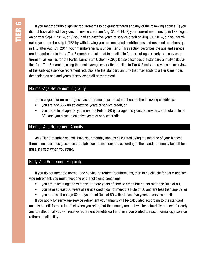If you met the 2005 eligibility requirements to be grandfathered and any of the following applies: 1) you did not have at least five years of service credit on Aug. 31, 2014, 2) your current membership in TRS began on or after Sept. 1, 2014, or 3) you had at least five years of service credit on Aug. 31, 2014, but you terminated your membership in TRS by withdrawing your accumulated contributions and resumed membership in TRS after Aug. 31, 2014, your membership falls under Tier 6. This section describes the age and service credit requirements that a Tier 6 member must meet to be eligible for normal-age or early-age service retirement, as well as for the Partial Lump Sum Option (PLSO). It also describes the standard annuity calculation for a Tier 6 member, using the final average salary that applies to Tier 6. Finally, it provides an overview of the early-age service retirement reductions to the standard annuity that may apply to a Tier 6 member, depending on age and years of service credit at retirement.

#### Normal-Age Retirement Eligibility

To be eligible for normal-age service retirement, you must meet one of the following conditions:

- you are age 65 with at least five years of service credit, or
- you are at least age 62, you meet the Rule of 80 (your age and years of service credit total at least 80), and you have at least five years of service credit.

#### Normal-Age Retirement Annuity

As a Tier 6 member, you will have your monthly annuity calculated using the average of your highest three annual salaries (based on creditable compensation) and according to the standard annuity benefit formula in effect when you retire.

# Early-Age Retirement Eligibility

If you do not meet the normal-age service retirement requirements, then to be eligible for early-age service retirement, you must meet one of the following conditions:

- you are at least age 55 with five or more years of service credit but do not meet the Rule of 80,
- you have at least 30 years of service credit, do not meet the Rule of 80 and are less than age 62, or
- you are less than age 62 but you meet Rule of 80 with at least five years of service credit.

If you apply for early-age service retirement your annuity will be calculated according to the standard annuity benefit formula in effect when you retire, but the annuity amount will be actuarially reduced for early age to reflect that you will receive retirement benefits earlier than if you waited to reach normal-age service retirement eligibility.